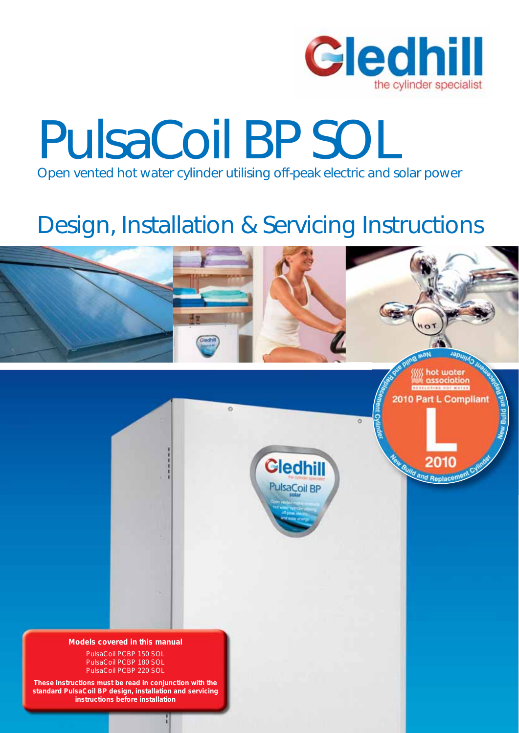

## PulsaCoil BP SOL Open vented hot water cylinder utilising off-peak electric and solar power

### Design, Installation & Servicing Instructions

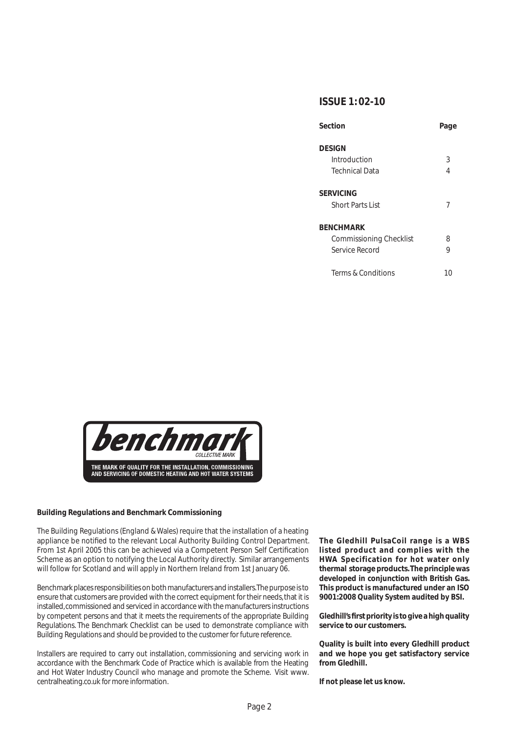### **ISSUE 1: 02-10**

| Section                        | Page |
|--------------------------------|------|
| <b>DESIGN</b>                  |      |
| Introduction                   | 3    |
| <b>Technical Data</b>          | 4    |
| SERVICING                      |      |
| <b>Short Parts List</b>        | 7    |
| <b>BENCHMARK</b>               |      |
| <b>Commissioning Checklist</b> | 8    |
| Service Record                 | 9    |
| Terms & Conditions             | 10   |



### **Building Regulations and Benchmark Commissioning**

The Building Regulations (England & Wales) require that the installation of a heating appliance be notified to the relevant Local Authority Building Control Department. From 1st April 2005 this can be achieved via a Competent Person Self Certification Scheme as an option to notifying the Local Authority directly. Similar arrangements will follow for Scotland and will apply in Northern Ireland from 1st January 06.

Benchmark places responsibilities on both manufacturers and installers. The purpose is to ensure that customers are provided with the correct equipment for their needs, that it is installed, commissioned and serviced in accordance with the manufacturers instructions by competent persons and that it meets the requirements of the appropriate Building Regulations. The Benchmark Checklist can be used to demonstrate compliance with Building Regulations and should be provided to the customer for future reference.

Installers are required to carry out installation, commissioning and servicing work in accordance with the Benchmark Code of Practice which is available from the Heating and Hot Water Industry Council who manage and promote the Scheme. Visit www. centralheating.co.uk for more information.

**The Gledhill PulsaCoil range is a WBS listed product and complies with the HWA Specification for hot water only thermal storage products. The principle was developed in conjunction with British Gas. This product is manufactured under an ISO 9001:2008 Quality System audited by BSI.**

Gledhill's first priority is to give a high quality **service to our customers.**

**Quality is built into every Gledhill product and we hope you get satisfactory service from Gledhill.** 

**If not please let us know.**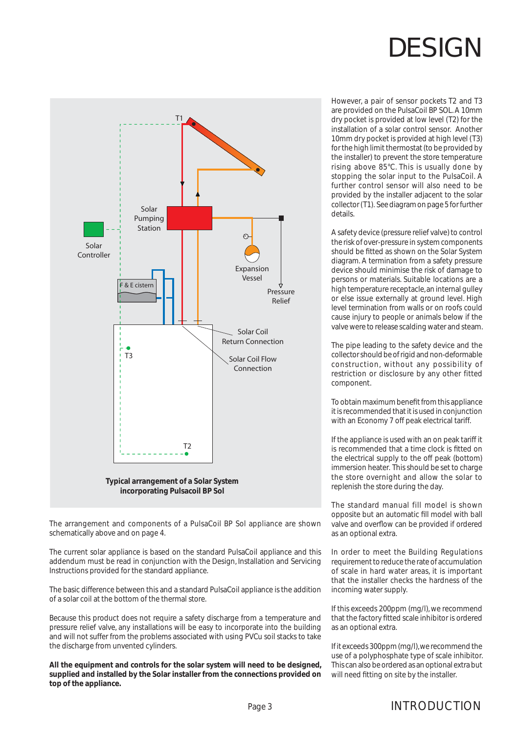

The arrangement and components of a PulsaCoil BP Sol appliance are shown schematically above and on page 4.

The current solar appliance is based on the standard PulsaCoil appliance and this addendum must be read in conjunction with the Design, Installation and Servicing Instructions provided for the standard appliance.

The basic difference between this and a standard PulsaCoil appliance is the addition of a solar coil at the bottom of the thermal store.

Because this product does not require a safety discharge from a temperature and pressure relief valve, any installations will be easy to incorporate into the building and will not suffer from the problems associated with using PVCu soil stacks to take the discharge from unvented cylinders.

**All the equipment and controls for the solar system will need to be designed, supplied and installed by the Solar installer from the connections provided on top of the appliance.**

However, a pair of sensor pockets T2 and T3 are provided on the PulsaCoil BP SOL. A 10mm dry pocket is provided at low level (T2) for the installation of a solar control sensor. Another 10mm dry pocket is provided at high level (T3) for the high limit thermostat (to be provided by the installer) to prevent the store temperature rising above 85°C. This is usually done by stopping the solar input to the PulsaCoil. A further control sensor will also need to be provided by the installer adjacent to the solar collector (T1). See diagram on page 5 for further details.

A safety device (pressure relief valve) to control the risk of over-pressure in system components should be fitted as shown on the Solar System diagram. A termination from a safety pressure device should minimise the risk of damage to persons or materials. Suitable locations are a high temperature receptacle, an internal gulley or else issue externally at ground level. High level termination from walls or on roofs could cause injury to people or animals below if the valve were to release scalding water and steam.

The pipe leading to the safety device and the collector should be of rigid and non-deformable construction, without any possibility of restriction or disclosure by any other fitted component.

To obtain maximum benefit from this appliance it is recommended that it is used in conjunction with an Economy 7 off peak electrical tariff.

If the appliance is used with an on peak tariff it is recommended that a time clock is fitted on the electrical supply to the off peak (bottom) immersion heater. This should be set to charge the store overnight and allow the solar to replenish the store during the day.

The standard manual fill model is shown opposite but an automatic fill model with ball valve and overflow can be provided if ordered as an optional extra.

In order to meet the Building Regulations requirement to reduce the rate of accumulation of scale in hard water areas, it is important that the installer checks the hardness of the incoming water supply.

If this exceeds 200ppm (mg/l), we recommend that the factory fitted scale inhibitor is ordered as an optional extra.

If it exceeds 300ppm (mg/l), we recommend the use of a polyphosphate type of scale inhibitor. This can also be ordered as an optional extra but will need fitting on site by the installer.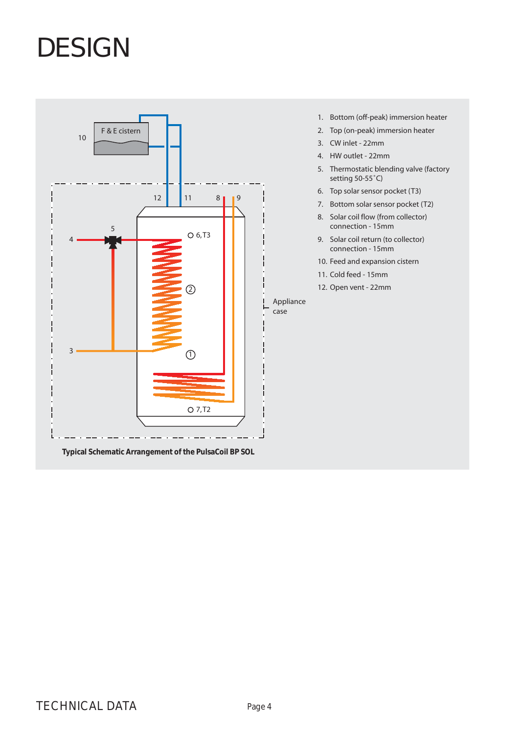

**Typical Schematic Arrangement of the PulsaCoil BP SOL**

- 1. Bottom (off-peak) immersion heater
- 2. Top (on-peak) immersion heater
- 3. CW inlet 22mm
- 4. HW outlet 22mm
- 5. Thermostatic blending valve (factory setting 50-55˚C)
- 6. Top solar sensor pocket (T3)
- 7. Bottom solar sensor pocket (T2)
- 8. Solar coil flow (from collector) connection - 15mm
- 9. Solar coil return (to collector) connection - 15mm
- 10. Feed and expansion cistern
- 11. Cold feed 15mm
- 12. Open vent 22mm

Appliance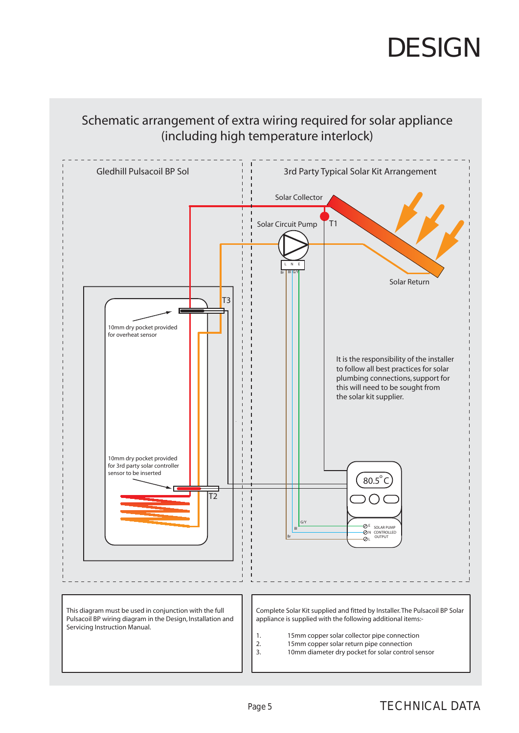

### Schematic arrangement of extra wiring required for solar appliance (including high temperature interlock)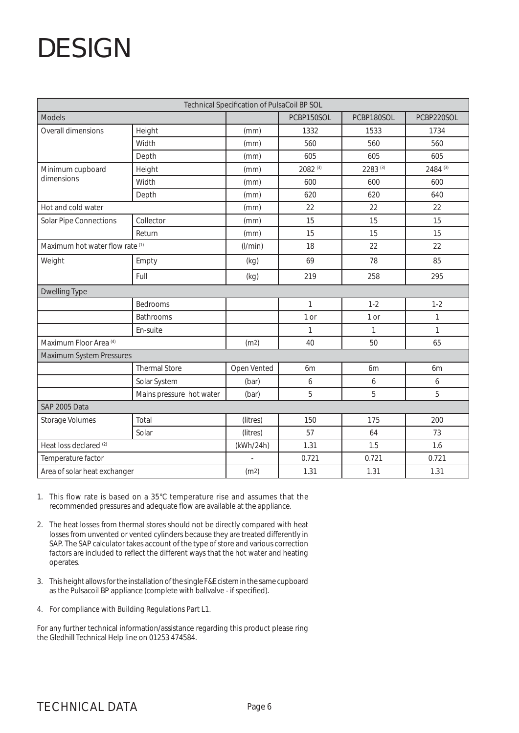| Technical Specification of PulsaCoil BP SOL           |                          |             |              |            |            |  |
|-------------------------------------------------------|--------------------------|-------------|--------------|------------|------------|--|
| Models                                                |                          |             | PCBP150SOL   | PCBP180SOL | PCBP220SOL |  |
| Overall dimensions                                    | Height                   | (mm)        | 1332         | 1533       | 1734       |  |
|                                                       | Width                    | (mm)        | 560          | 560        | 560        |  |
|                                                       | Depth                    | (mm)        | 605          | 605        | 605        |  |
| Minimum cupboard                                      | Height                   | (mm)        | 2082 (3)     | 2283 (3)   | 2484 (3)   |  |
| dimensions                                            | Width                    | (mm)        | 600          | 600        | 600        |  |
|                                                       | Depth                    | (mm)        | 620          | 620        | 640        |  |
| Hot and cold water                                    |                          | (mm)        | 22           | 22         | 22         |  |
| Solar Pipe Connections                                | Collector                | (mm)        | 15           | 15         | 15         |  |
|                                                       | Return                   | (mm)        | 15           | 15         | 15         |  |
| Maximum hot water flow rate (1)                       |                          | (1/min)     | 18           | 22         | 22         |  |
| Weight                                                | Empty                    | (kg)        | 69           | 78         | 85         |  |
|                                                       | Full                     | (kg)        | 219          | 258        | 295        |  |
| <b>Dwelling Type</b>                                  |                          |             |              |            |            |  |
|                                                       | Bedrooms                 |             | $\mathbf{1}$ | $1 - 2$    | $1 - 2$    |  |
|                                                       | Bathrooms                |             | 1 or         | 1 or       | 1          |  |
|                                                       | En-suite                 |             | $\mathbf{1}$ | 1          | 1          |  |
| Maximum Floor Area <sup>(4)</sup><br>40<br>(m2)<br>50 |                          | 65          |              |            |            |  |
| Maximum System Pressures                              |                          |             |              |            |            |  |
|                                                       | <b>Thermal Store</b>     | Open Vented | 6m           | 6m         | 6m         |  |
|                                                       | Solar System             | (bar)       | 6            | 6          | 6          |  |
|                                                       | Mains pressure hot water | (bar)       | 5            | 5          | 5          |  |
| SAP 2005 Data                                         |                          |             |              |            |            |  |
| <b>Storage Volumes</b>                                | Total                    | (litres)    | 150          | 175        | 200        |  |
|                                                       | Solar                    | (litres)    | 57           | 64         | 73         |  |
| Heat loss declared <sup>(2)</sup>                     |                          | (kWh/24h)   | 1.31         | 1.5        | 1.6        |  |
| Temperature factor                                    |                          |             | 0.721        | 0.721      | 0.721      |  |
| Area of solar heat exchanger                          |                          | (m2)        | 1.31         | 1.31       | 1.31       |  |

- 1. This flow rate is based on a 35°C temperature rise and assumes that the recommended pressures and adequate flow are available at the appliance.
- 2. The heat losses from thermal stores should not be directly compared with heat losses from unvented or vented cylinders because they are treated differently in SAP. The SAP calculator takes account of the type of store and various correction factors are included to reflect the different ways that the hot water and heating operates.
- 3. This height allows for the installation of the single F&E cistern in the same cupboard as the Pulsacoil BP appliance (complete with ballvalve - if specified).
- 4. For compliance with Building Regulations Part L1.

For any further technical information/assistance regarding this product please ring the Gledhill Technical Help line on 01253 474584.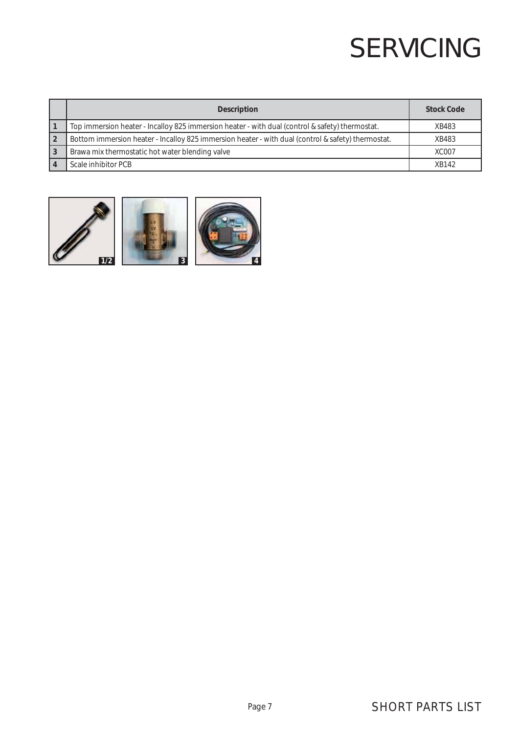## SERVICING

|   | <b>Description</b>                                                                                 | <b>Stock Code</b> |  |  |
|---|----------------------------------------------------------------------------------------------------|-------------------|--|--|
|   | Top immersion heater - Incalloy 825 immersion heater - with dual (control & safety) thermostat.    | XB483             |  |  |
|   | Bottom immersion heater - Incalloy 825 immersion heater - with dual (control & safety) thermostat. | XB483             |  |  |
| 3 | Brawa mix thermostatic hot water blending valve                                                    | <b>XC007</b>      |  |  |
|   | Scale inhibitor PCB                                                                                | XB142             |  |  |

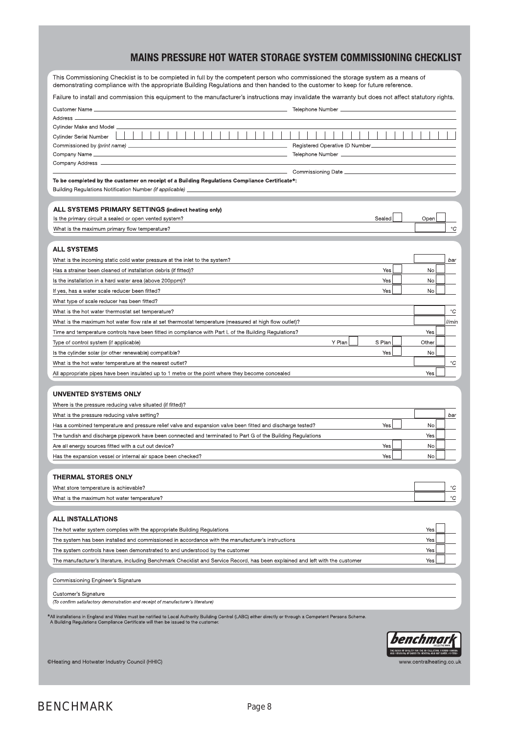### MAINS PRESSURE HOT WATER STORAGE SYSTEM COMMISSIONING CHECKLIST

| This Commissioning Checklist is to be completed in full by the competent person who commissioned the storage system as a means of<br>demonstrating compliance with the appropriate Building Regulations and then handed to the customer to keep for future reference. |        |  |       |             |
|-----------------------------------------------------------------------------------------------------------------------------------------------------------------------------------------------------------------------------------------------------------------------|--------|--|-------|-------------|
| Failure to install and commission this equipment to the manufacturer's instructions may invalidate the warranty but does not affect statutory rights.                                                                                                                 |        |  |       |             |
| dentified and the contract of the contract of the contract of the contract of the contract of the contract of the contract of the contract of the contract of the contract of the contract of the contract of the contract of<br>Customer Name _                      |        |  |       |             |
| Address.                                                                                                                                                                                                                                                              |        |  |       |             |
| Cylinder Make and Model                                                                                                                                                                                                                                               |        |  |       |             |
| <b>Cylinder Serial Number</b>                                                                                                                                                                                                                                         |        |  |       |             |
| Registered Operative ID Number<br>Commissioned by (print name) ____________                                                                                                                                                                                           |        |  |       |             |
| Company Name __<br>Telephone Number ______<br>Company Address ___                                                                                                                                                                                                     |        |  |       |             |
| Commissioning Date ___                                                                                                                                                                                                                                                |        |  |       |             |
| To be completed by the customer on receipt of a Building Regulations Compliance Certificate*:                                                                                                                                                                         |        |  |       |             |
| Building Regulations Notification Number (if applicable) _                                                                                                                                                                                                            |        |  |       |             |
| <b>ALL SYSTEMS PRIMARY SETTINGS (indirect heating only)</b>                                                                                                                                                                                                           |        |  |       |             |
| Is the primary circuit a sealed or open vented system?                                                                                                                                                                                                                | Sealed |  | Open  |             |
| What is the maximum primary flow temperature?                                                                                                                                                                                                                         |        |  |       | $^{\circ}C$ |
|                                                                                                                                                                                                                                                                       |        |  |       |             |
| <b>ALL SYSTEMS</b>                                                                                                                                                                                                                                                    |        |  |       |             |
| What is the incoming static cold water pressure at the inlet to the system?                                                                                                                                                                                           |        |  |       | bar         |
| Has a strainer been cleaned of installation debris (if fitted)?                                                                                                                                                                                                       | Yes    |  | No    |             |
| Is the installation in a hard water area (above 200ppm)?                                                                                                                                                                                                              | Yes    |  | No    |             |
| If yes, has a water scale reducer been fitted?                                                                                                                                                                                                                        | Yes    |  | No    |             |
| What type of scale reducer has been fitted?                                                                                                                                                                                                                           |        |  |       |             |
| What is the hot water thermostat set temperature?                                                                                                                                                                                                                     |        |  |       | $^{\circ}C$ |
| What is the maximum hot water flow rate at set thermostat temperature (measured at high flow outlet)?                                                                                                                                                                 |        |  |       | l/min       |
| Time and temperature controls have been fitted in compliance with Part L of the Building Regulations?                                                                                                                                                                 |        |  | Yes   |             |
| Y Plan<br>Type of control system (if applicable)                                                                                                                                                                                                                      | S Plan |  | Other |             |
| Is the cylinder solar (or other renewable) compatible?<br>What is the hot water temperature at the nearest outlet?                                                                                                                                                    | Yes    |  | No    | $^{\circ}C$ |
| All appropriate pipes have been insulated up to 1 metre or the point where they become concealed                                                                                                                                                                      |        |  | Yes   |             |
|                                                                                                                                                                                                                                                                       |        |  |       |             |
| UNVENTED SYSTEMS ONLY                                                                                                                                                                                                                                                 |        |  |       |             |
| Where is the pressure reducing valve situated (if fitted)?                                                                                                                                                                                                            |        |  |       |             |
| What is the pressure reducing valve setting?                                                                                                                                                                                                                          |        |  |       | bar         |
| Has a combined temperature and pressure relief valve and expansion valve been fitted and discharge tested?                                                                                                                                                            | Yes    |  | No    |             |
| The tundish and discharge pipework have been connected and terminated to Part G of the Building Regulations                                                                                                                                                           |        |  | Yes   |             |
| Are all energy sources fitted with a cut out device?                                                                                                                                                                                                                  | Yes    |  | No    |             |
| Has the expansion vessel or internal air space been checked?                                                                                                                                                                                                          | Yes    |  | No    |             |
| <b>THERMAL STORES ONLY</b>                                                                                                                                                                                                                                            |        |  |       |             |
| What store temperature is achievable?                                                                                                                                                                                                                                 |        |  |       | °C          |
| What is the maximum hot water temperature?                                                                                                                                                                                                                            |        |  |       | $^{\circ}C$ |
|                                                                                                                                                                                                                                                                       |        |  |       |             |
| <b>ALL INSTALLATIONS</b>                                                                                                                                                                                                                                              |        |  |       |             |
| The hot water system complies with the appropriate Building Regulations                                                                                                                                                                                               |        |  | Yes   |             |
| The system has been installed and commissioned in accordance with the manufacturer's instructions                                                                                                                                                                     |        |  | Yes   |             |
| The system controls have been demonstrated to and understood by the customer                                                                                                                                                                                          |        |  | Yes   |             |
| The manufacturer's literature, including Benchmark Checklist and Service Record, has been explained and left with the customer                                                                                                                                        |        |  | Yes   |             |
|                                                                                                                                                                                                                                                                       |        |  |       |             |
| Commissioning Engineer's Signature                                                                                                                                                                                                                                    |        |  |       |             |
| Customer's Signature                                                                                                                                                                                                                                                  |        |  |       |             |
| (To confirm satisfactory demonstration and receipt of manufacturer's literature)                                                                                                                                                                                      |        |  |       |             |
| <sup>k</sup> All installations in England and Wales must be notified to Local Authority Building Control (LABC) either directly or through a Competent Persons Scheme.<br>A Building Regulations Compliance Certificate will then be issued to the customer.          |        |  |       |             |
|                                                                                                                                                                                                                                                                       |        |  |       |             |
|                                                                                                                                                                                                                                                                       |        |  |       |             |
|                                                                                                                                                                                                                                                                       |        |  |       |             |

www.centralheating.co.uk

©Heating and Hotwater Industry Council (HHIC)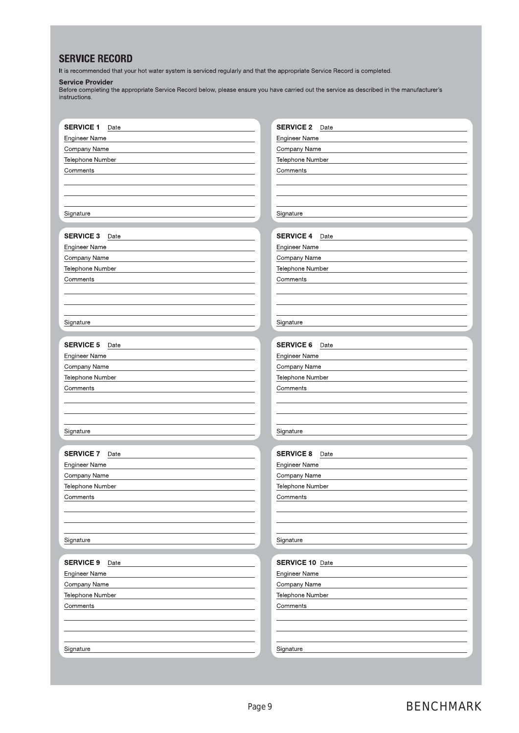### **SERVICE RECORD**

It is recommended that your hot water system is serviced regularly and that the appropriate Service Record is completed.

#### **Service Provider**

Before completing the appropriate Service Record below, please ensure you have carried out the service as described in the manufacturer's instructions.

| <b>SERVICE 1</b><br>Date         | <b>SERVICE 2</b><br>Date         |
|----------------------------------|----------------------------------|
| <b>Engineer Name</b>             | <b>Engineer Name</b>             |
| Company Name                     | Company Name                     |
| Telephone Number                 | Telephone Number                 |
| Comments                         | Comments                         |
|                                  |                                  |
|                                  |                                  |
|                                  |                                  |
| Signature                        | Signature                        |
|                                  |                                  |
| <b>SERVICE 3</b><br>Date         | <b>SERVICE 4</b><br>Date         |
| Engineer Name                    | <b>Engineer Name</b>             |
| Company Name                     | Company Name                     |
| Telephone Number                 | Telephone Number                 |
| Comments                         | Comments                         |
|                                  |                                  |
|                                  |                                  |
|                                  |                                  |
| Signature                        | Signature                        |
|                                  |                                  |
| <b>SERVICE 5</b><br>Date         | <b>SERVICE 6</b><br>Date         |
| Engineer Name                    | Engineer Name                    |
| Company Name                     | Company Name                     |
| Telephone Number                 | Telephone Number                 |
| Comments                         | Comments                         |
|                                  |                                  |
|                                  |                                  |
|                                  |                                  |
| Signature                        | Signature                        |
|                                  |                                  |
| <b>SERVICE 7</b><br>Date         | <b>SERVICE 8</b><br>Date         |
| Engineer Name                    | <b>Engineer Name</b>             |
| Company Name                     | Company Name                     |
| Telephone Number                 | Telephone Number                 |
| Comments                         | Comments                         |
|                                  |                                  |
|                                  |                                  |
| Signature                        | Signature                        |
|                                  |                                  |
| <b>SERVICE 9</b><br>Date         | <b>SERVICE 10 Date</b>           |
|                                  |                                  |
| Engineer Name                    | Engineer Name                    |
| Company Name<br>Telephone Number | Company Name<br>Telephone Number |
|                                  | Comments                         |
| Comments                         |                                  |
|                                  |                                  |
|                                  |                                  |
| Signature                        | Signature                        |
|                                  |                                  |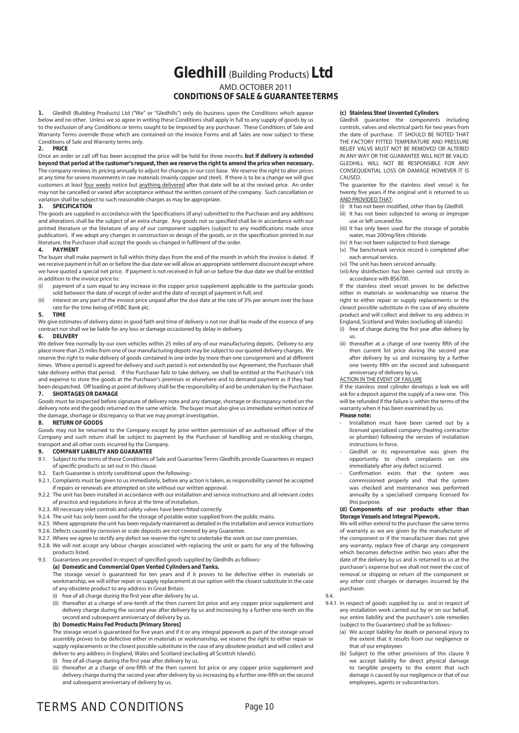### **Gledhill** (Building Products) **Ltd** AMD. OCTOBER 2011 **CONDITIONS OF SALE & GUARANTEE TERMS**

**1.** Gledhill (Building Products) Ltd ("We" or "Gledhills") only do business upon the Conditions which appear below and no other. Unless we so agree in writing these Conditions shall apply in full to any supply of goods by us to the exclusion of any Conditions or terms sought to be imposed by any purchaser. These Conditions of Sale and Warranty Terms override those which are contained on the Invoice Forms and all Sales are now subject to these Conditions of Sale and Warranty terms only.<br>2. **PRICE** 

#### **2. PRICE**

Once an order or call off has been accepted the price will be held for three months **but if delivery is extended beyond that period at the customer's request, then we reserve the right to amend the price when necessary.** The company reviews its pricing annually to adjust for changes in our cost base. We reserve the right to alter prices at any time for severe movements in raw materials (mainly copper and steel). If there is to be a change we will give customers at least four weeks notice but anything delivered after that date will be at the revised price. An order may not be cancelled or varied after acceptance without the written consent of the company. Such cancellation or variation shall be subject to such reasonable charges as may be appropriate.

#### **3. SPECIFICATION**

The goods are supplied in accordance with the Specifications (if any) submitted to the Purchaser and any additions and alterations shall be the subject of an extra charge. Any goods not so specified shall be in accordance with our printed literature or the literature of any of our component suppliers (subject to any modifications made since publication). If we adopt any changes in construction or design of the goods, or in the specification printed in our literature, the Purchaser shall accept the goods so changed in fulfilment of the order.

#### **4. PAYMENT**

The buyer shall make payment in full within thirty days from the end of the month in which the invoice is dated. If we receive payment in full on or before the due date we will allow an appropriate settlement discount except where we have quoted a special net price. If payment is not received in full on or before the due date we shall be entitled in addition to the invoice price to:

- (i) payment of a sum equal to any increase in the copper price supplement applicable to the particular goods sold between the date of receipt of order and the date of receipt of payment in full; and
- (ii) interest on any part of the invoice price unpaid after the due date at the rate of 3% per annum over the base rate for the time being of HSBC Bank plc.

#### **5. TIME**

We give estimates of delivery dates in good faith and time of delivery is not nor shall be made of the essence of any contract nor shall we be liable for any loss or damage occasioned by delay in delivery.

#### **6. DELIVERY**

We deliver free normally by our own vehicles within 25 miles of any of our manufacturing depots. Delivery to any place more than 25 miles from one of our manufacturing depots may be subject to our quoted delivery charges. We reserve the right to make delivery of goods contained in one order by more than one consignment and at different times. Where a period is agreed for delivery and such period is not extended by our Agreement, the Purchaser shall take delivery within that period. If the Purchaser fails to take delivery, we shall be entitled at the Purchaser's risk and expense to store the goods at the Purchaser's premises or elsewhere and to demand payment as if they had been despatched. Off loading at point of delivery shall be the responsibility of and be undertaken by the Purchaser.

#### **7. SHORTAGES OR DAMAGE**

Goods must be inspected before signature of delivery note and any damage, shortage or discrepancy noted on the delivery note and the goods returned on the same vehicle. The buyer must also give us immediate written notice of the damage, shortage or discrepancy so that we may prompt investigation.

#### **8. RETURN OF GOODS**

Goods may not be returned to the Company except by prior written permission of an authorised officer of the Company and such return shall be subject to payment by the Purchaser of handling and re-stocking charges, transport and all other costs incurred by the Company.

#### **9. COMPANY LIABILITY AND GUARANTEE**

- 9.1. Subject to the terms of these Conditions of Sale and Guarantee Terms Gledhills provide Guarantees in respect of specific products as set out in this clause.
- 9.2. Each Guarantee is strictly conditional upon the following:-
- 9.2.1. Complaints must be given to us immediately, before any action is taken, as responsibility cannot be accepted if repairs or renewals are attempted on site without our written approval.
- 9.2.2. The unit has been installed in accordance with our installation and service instructions and all relevant codes of practice and regulations in force at the time of installation.
- 9.2.3. All necessary inlet controls and safety valves have been fitted correctly.
- 9.2.4. The unit has only been used for the storage of potable water supplied from the public mains.
- 9.2.5 Where appropriate the unit has been regularly maintained as detailed in the installation and service instructions
- 9.2.6. Defects caused by corrosion or scale deposits are not covered by any Guarantee.
- 9.2.7. Where we agree to rectify any defect we reserve the right to undertake the work on our own premises.
- 9.2.8. We will not accept any labour charges associated with replacing the unit or parts for any of the following products listed.

#### 9.3. Guarantees are provided in respect of specified goods supplied by Gledhills as follows:- **(a) Domestic and Commercial Open Vented Cylinders and Tanks.**

 The storage vessel is guaranteed for ten years and if it proves to be defective either in materials or workmanship, we will either repair or supply replacement at our option with the closest substitute in the case of any obsolete product to any address in Great Britain.

- (i) free of all charge during the first year after delivery by us.
- (ii) thereafter at a charge of one-tenth of the then current list price and any copper price supplement and delivery charge during the second year after delivery by us and increasing by a further one-tenth on the second and subsequent anniversary of delivery by us.

#### **(b) Domestic Mains Fed Products [Primary Stores]**

 The storage vessel is guaranteed for five years and if it or any integral pipework as part of the storage vessel assembly proves to be defective either in materials or workmanship, we reserve the right to either repair or supply replacements or the closest possible substitute in the case of any obsolete product and will collect and deliver to any address in England, Wales and Scotland (excluding all Scottish Islands).

- (i) free of all charge during the first year after delivery by us.
- (ii) thereafter at a charge of one-fifth of the then current list price or any copper price supplement and delivery charge during the second year after delivery by us increasing by a further one-fifth on the second and subsequent anniversary of delivery by us.

#### **(c) Stainless Steel Unvented Cylinders**

 Gledhill guarantee the components including controls, valves and electrical parts for two years from the date of purchase. IT SHOULD BE NOTED THAT THE FACTORY FITTED TEMPERATURE AND PRESSURE RELIEF VALVE MUST NOT BE REMOVED OR ALTERED IN ANY WAY OR THE GUARANTEE WILL NOT BE VALID. GLEDHILL WILL NOT BE RESPONSIBLE FOR ANY CONSEQUENTIAL LOSS OR DAMAGE HOWEVER IT IS CAUSED.

 The guarantee for the stainless steel vessel is for twenty five years if the original unit is returned to us AND PROVIDED THAT:

- (i) It has not been modified, other than by Gledhill.
- (ii) It has not been subjected to wrong or improper use or left uncared for.
- (iii) It has only been used for the storage of potable water, max 200mg/litre chloride.
- (iv) It has not been subjected to frost damage. (v) The benchmark service record is completed after
- each annual service. (vi) The unit has been serviced annually.
- (vii) Any disinfection has been carried out strictly in accordance with BS6700.

 If the stainless steel vessel proves to be defective either in materials or workmanship we reserve the right to either repair or supply replacements or the closest possible substitute in the case of any obsolete product and will collect and deliver to any address in England, Scotland and Wales (excluding all islands):

- (i) free of charge during the first year after delivery by us.
- (ii) thereafter at a charge of one twenty fifth of the then current list price during the second year after delivery by us and increasing by a further one twenty fifth on the second and subsequent anniversary of delivery by us.
- ACTION IN THE EVENT OF FAILURE

 If the stainless steel cylinder develops a leak we will ask for a deposit against the supply of a new one. This will be refunded if the failure is within the terms of the warranty when it has been examined by us. **Please note:**

- 
- Installation must have been carried out by a licensed specialized company (heating contractor or plumber) following the version of installation instructions in force.
- Gledhill or its representative was given the opportunity to check complaints on site immediately after any defect occurred.
- Confirmation exists that the system was commissioned properly and that the system was checked and maintenance was performed annually by a specialised company licensed for this purpose.

#### **(d) Components of our products other than Storage Vessels and Integral Pipework.**

 We will either extend to the purchaser the same terms of warranty as we are given by the manufacturer of the component or if the manufacturer does not give any warranty, replace free of charge any component which becomes defective within two years after the date of the delivery by us and is returned to us at the purchaser's expense but we shall not meet the cost of removal or shipping or return of the component or any other cost charges or damages incurred by the purchaser.

9.4.

- 9.4.1. In respect of goods supplied by us and in respect of any installation work carried out by or on our behalf, our entire liability and the purchaser's sole remedies (subject to the Guarantees) shall be as follows:-
	- (a) We accept liability for death or personal injury to the extent that it results from our negligence or that of our employees
	- (b) Subject to the other provisions of this clause 9 we accept liability for direct physical damage to tangible property to the extent that such damage is caused by our negligence or that of our employees, agents or subcontractors.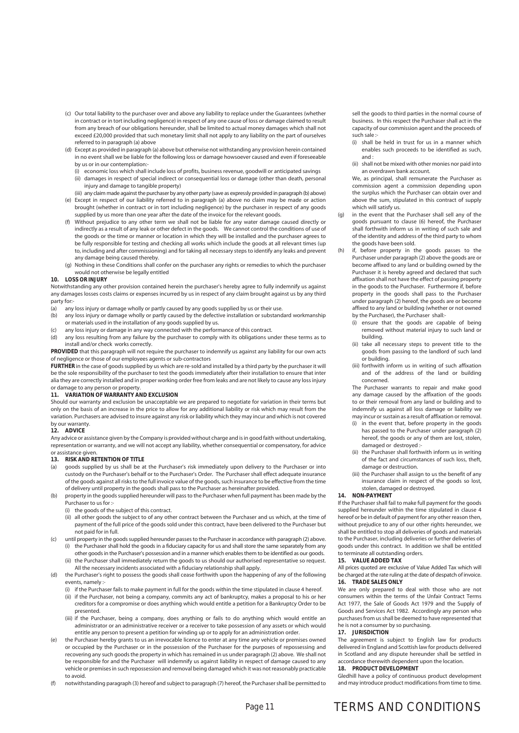- (c) Our total liability to the purchaser over and above any liability to replace under the Guarantees (whether in contract or in tort including negligence) in respect of any one cause of loss or damage claimed to result from any breach of our obligations hereunder, shall be limited to actual money damages which shall not exceed £20,000 provided that such monetary limit shall not apply to any liability on the part of ourselves referred to in paragraph (a) above
- (d) Except as provided in paragraph (a) above but otherwise not withstanding any provision herein contained in no event shall we be liable for the following loss or damage howsoever caused and even if foreseeable by us or in our contemplation:-
	- (i) economic loss which shall include loss of profits, business revenue, goodwill or anticipated savings
	- (ii) damages in respect of special indirect or consequential loss or damage (other than death, personal injury and damage to tangible property)
- (iii) any claim made against the purchaser by any other party (save as expressly provided in paragraph (b) above) (e) Except in respect of our liability referred to in paragraph (a) above no claim may be made or action brought (whether in contract or in tort including negligence) by the purchaser in respect of any goods supplied by us more than one year after the date of the invoice for the relevant goods.
- Without prejudice to any other term we shall not be liable for any water damage caused directly or indirectly as a result of any leak or other defect in the goods. We cannot control the conditions of use of the goods or the time or manner or location in which they will be installed and the purchaser agrees to be fully responsible for testing and checking all works which include the goods at all relevant times (up to, including and after commissioning) and for taking all necessary steps to identify any leaks and prevent any damage being caused thereby.
- (g) Nothing in these Conditions shall confer on the purchaser any rights or remedies to which the purchaser would not otherwise be legally entitled

#### **10. LOSS OR INJURY**

Notwithstanding any other provision contained herein the purchaser's hereby agree to fully indemnify us against any damages losses costs claims or expenses incurred by us in respect of any claim brought against us by any third party for:<br>(a) any

- any loss injury or damage wholly or partly caused by any goods supplied by us or their use.
- (b) any loss injury or damage wholly or partly caused by the defective installation or substandard workmanship or materials used in the installation of any goods supplied by us.
- (c) any loss injury or damage in any way connected with the performance of this contract.
- (d) any loss resulting from any failure by the purchaser to comply with its obligations under these terms as to install and/or check works correctly.

**PROVIDED** that this paragraph will not require the purchaser to indemnify us against any liability for our own acts of negligence or those of our employees agents or sub-contractors

**FURTHER** in the case of goods supplied by us which are re-sold and installed by a third party by the purchaser it will be the sole responsibility of the purchaser to test the goods immediately after their installation to ensure that inter alia they are correctly installed and in proper working order free from leaks and are not likely to cause any loss injury or damage to any person or property.

#### **11. VARIATION OF WARRANTY AND EXCLUSION**

Should our warranty and exclusion be unacceptable we are prepared to negotiate for variation in their terms but only on the basis of an increase in the price to allow for any additional liability or risk which may result from the variation. Purchasers are advised to insure against any risk or liability which they may incur and which is not covered by our warranty.

#### **12. ADVICE**

Any advice or assistance given by the Company is provided without charge and is in good faith without undertaking, representation or warranty, and we will not accept any liability, whether consequential or compensatory, for advice or assistance given.

#### **13. RISK AND RETENTION OF TITLE**

- (a) goods supplied by us shall be at the Purchaser's risk immediately upon delivery to the Purchaser or into custody on the Purchaser's behalf or to the Purchaser's Order. The Purchaser shall effect adequate insurance of the goods against all risks to the full invoice value of the goods, such insurance to be effective from the time of delivery until property in the goods shall pass to the Purchaser as hereinafter provided.
- property in the goods supplied hereunder will pass to the Purchaser when full payment has been made by the Purchaser to us for :-
	- (i) the goods of the subject of this contract.
	- (ii) all other goods the subject to of any other contract between the Purchaser and us which, at the time of payment of the full price of the goods sold under this contract, have been delivered to the Purchaser but not paid for in full.
- (c) until property in the goods supplied hereunder passes to the Purchaser in accordance with paragraph (2) above. (i) the Purchaser shall hold the goods in a fiduciary capacity for us and shall store the same separately from any other goods in the Purchaser's possession and in a manner which enables them to be identified as our goods.
	- (ii) the Purchaser shall immediately return the goods to us should our authorised representative so request. All the necessary incidents associated with a fiduciary relationship shall apply.
- (d) the Purchaser's right to possess the goods shall cease forthwith upon the happening of any of the following events, namely :
	- (i) if the Purchaser fails to make payment in full for the goods within the time stipulated in clause 4 hereof. (ii) if the Purchaser, not being a company, commits any act of bankruptcy, makes a proposal to his or her creditors for a compromise or does anything which would entitle a petition for a Bankruptcy Order to be presented.
	- (iii) if the Purchaser, being a company, does anything or fails to do anything which would entitle an administrator or an administrative receiver or a receiver to take possession of any assets or which would entitle any person to present a petition for winding up or to apply for an administration order.
- the Purchaser hereby grants to us an irrevocable licence to enter at any time any vehicle or premises owned or occupied by the Purchaser or in the possession of the Purchaser for the purposes of repossessing and recovering any such goods the property in which has remained in us under paragraph (2) above. We shall not be responsible for and the Purchaser will indemnify us against liability in respect of damage caused to any vehicle or premises in such repossession and removal being damaged which it was not reasonably practicable to avoid.
- (f) notwithstanding paragraph (3) hereof and subject to paragraph (7) hereof, the Purchaser shall be permitted to

sell the goods to third parties in the normal course of business. In this respect the Purchaser shall act in the capacity of our commission agent and the proceeds of such sale :-

- (i) shall be held in trust for us in a manner which enables such proceeds to be identified as such, and :
- (ii) shall not be mixed with other monies nor paid into an overdrawn bank account.

 We, as principal, shall remunerate the Purchaser as commission agent a commission depending upon the surplus which the Purchaser can obtain over and above the sum, stipulated in this contract of supply which will satisfy us.

- in the event that the Purchaser shall sell any of the goods pursuant to clause (6) hereof, the Purchaser shall forthwith inform us in writing of such sale and of the identity and address of the third party to whom the goods have been sold.
- (h) if, before property in the goods passes to the Purchaser under paragraph (2) above the goods are or become affixed to any land or building owned by the Purchaser it is hereby agreed and declared that such affixation shall not have the effect of passing property in the goods to the Purchaser. Furthermore if, before property in the goods shall pass to the Purchaser under paragraph (2) hereof, the goods are or become affixed to any land or building (whether or not owned by the Purchaser), the Purchaser shall:-
	- (i) ensure that the goods are capable of being removed without material injury to such land or building.
	- (ii) take all necessary steps to prevent title to the goods from passing to the landlord of such land or building.
	- (iii) forthwith inform us in writing of such affixation and of the address of the land or building concerned.

 The Purchaser warrants to repair and make good any damage caused by the affixation of the goods to or their removal from any land or building and to indemnify us against all loss damage or liability we may incur or sustain as a result of affixation or removal.

- $(i)$  in the event that, before property in the goods has passed to the Purchaser under paragraph (2) hereof, the goods or any of them are lost, stolen, damaged or destroyed :-
- (ii) the Purchaser shall forthwith inform us in writing of the fact and circumstances of such loss, theft, damage or destruction.
- (iii) the Purchaser shall assign to us the benefit of any insurance claim in respect of the goods so lost, stolen, damaged or destroyed.

#### **14. NON-PAYMENT**

If the Purchaser shall fail to make full payment for the goods supplied hereunder within the time stipulated in clause 4 hereof or be in default of payment for any other reason then, without prejudice to any of our other rights hereunder, we shall be entitled to stop all deliveries of goods and materials to the Purchaser, including deliveries or further deliveries of goods under this contract. In addition we shall be entitled to terminate all outstanding orders.

#### **15. VALUE ADDED TAX**

All prices quoted are exclusive of Value Added Tax which will be charged at the rate ruling at the date of despatch of invoice. **16. TRADE SALES ONLY**

We are only prepared to deal with those who are not consumers within the terms of the Unfair Contract Terms Act 1977, the Sale of Goods Act 1979 and the Supply of Goods and Services Act 1982. Accordingly any person who purchases from us shall be deemed to have represented that he is not a consumer by so purchasing.

#### **17. JURISDICTION**

The agreement is subject to English law for products delivered in England and Scottish law for products delivered in Scotland and any dispute hereunder shall be settled in accordance therewith dependent upon the location.

#### **18. PRODUCT DEVELOPMENT**

Gledhill have a policy of continuous product development and may introduce product modifications from time to time.